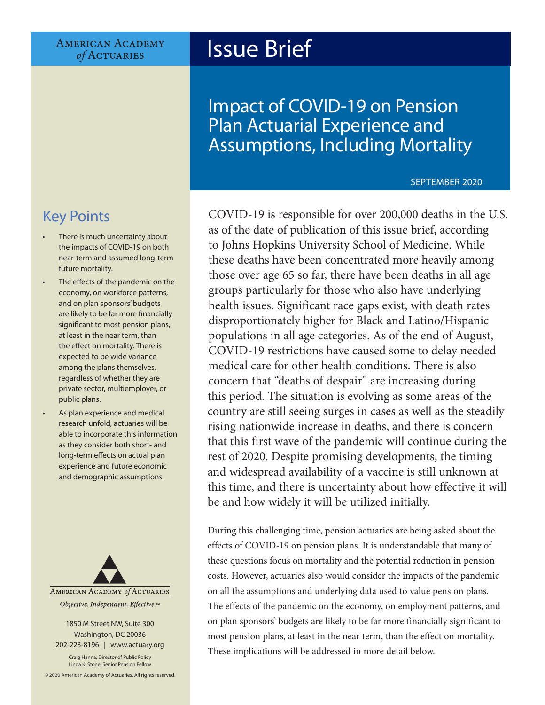**AMERICAN ACADEMY** of ACTUARIES

# Issue Brief

Impact of COVID-19 on Pension Plan Actuarial Experience and Assumptions, Including Mortality

### SEPTEMBER 2020

# Key Points

- There is much uncertainty about the impacts of COVID-19 on both near-term and assumed long-term future mortality.
- The effects of the pandemic on the economy, on workforce patterns, and on plan sponsors' budgets are likely to be far more financially significant to most pension plans, at least in the near term, than the effect on mortality. There is expected to be wide variance among the plans themselves, regardless of whether they are private sector, multiemployer, or public plans.
- As plan experience and medical research unfold, actuaries will be able to incorporate this information as they consider both short- and long-term effects on actual plan experience and future economic and demographic assumptions.



1850 M Street NW, Suite 300 Washington, DC 20036 202-223-8196 | [www.actuary.org](http://actuary.org)

Craig Hanna, Director of Public Policy Linda K. Stone, Senior Pension Fellow

© 2020 American Academy of Actuaries. All rights reserved.

COVID-19 is responsible for over 200,000 deaths in the U.S. as of the date of publication of this issue brief, according to Johns Hopkins University School of Medicine. While these deaths have been concentrated more heavily among those over age 65 so far, there have been deaths in all age groups particularly for those who also have underlying health issues. Significant race gaps exist, with death rates disproportionately higher for Black and Latino/Hispanic populations in all age categories. As of the end of August, COVID-19 restrictions have caused some to delay needed medical care for other health conditions. There is also concern that "deaths of despair" are increasing during this period. The situation is evolving as some areas of the country are still seeing surges in cases as well as the steadily rising nationwide increase in deaths, and there is concern that this first wave of the pandemic will continue during the rest of 2020. Despite promising developments, the timing and widespread availability of a vaccine is still unknown at this time, and there is uncertainty about how effective it will be and how widely it will be utilized initially.

During this challenging time, pension actuaries are being asked about the effects of COVID-19 on pension plans. It is understandable that many of these questions focus on mortality and the potential reduction in pension costs. However, actuaries also would consider the impacts of the pandemic on all the assumptions and underlying data used to value pension plans. The effects of the pandemic on the economy, on employment patterns, and on plan sponsors' budgets are likely to be far more financially significant to most pension plans, at least in the near term, than the effect on mortality. These implications will be addressed in more detail below.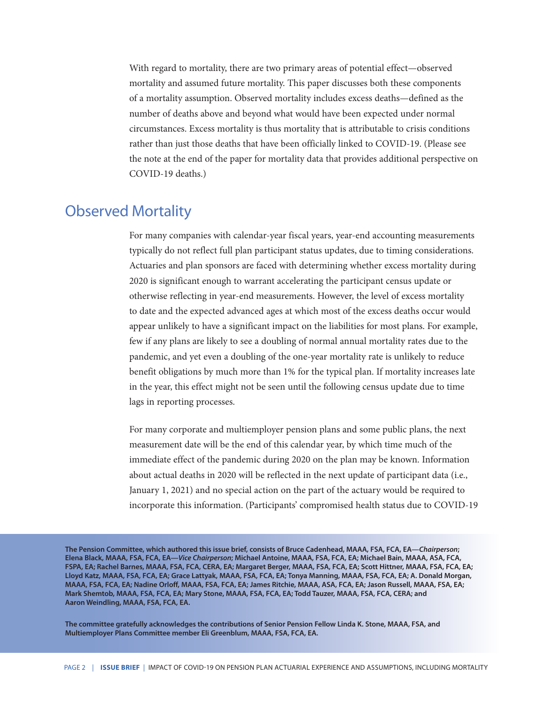With regard to mortality, there are two primary areas of potential effect—observed mortality and assumed future mortality. This paper discusses both these components of a mortality assumption. Observed mortality includes excess deaths—defined as the number of deaths above and beyond what would have been expected under normal circumstances. Excess mortality is thus mortality that is attributable to crisis conditions rather than just those deaths that have been officially linked to COVID-19. (Please see the note at the end of the paper for mortality data that provides additional perspective on COVID-19 deaths.)

### Observed Mortality

For many companies with calendar-year fiscal years, year-end accounting measurements typically do not reflect full plan participant status updates, due to timing considerations. Actuaries and plan sponsors are faced with determining whether excess mortality during 2020 is significant enough to warrant accelerating the participant census update or otherwise reflecting in year-end measurements. However, the level of excess mortality to date and the expected advanced ages at which most of the excess deaths occur would appear unlikely to have a significant impact on the liabilities for most plans. For example, few if any plans are likely to see a doubling of normal annual mortality rates due to the pandemic, and yet even a doubling of the one-year mortality rate is unlikely to reduce benefit obligations by much more than 1% for the typical plan. If mortality increases late in the year, this effect might not be seen until the following census update due to time lags in reporting processes.

For many corporate and multiemployer pension plans and some public plans, the next measurement date will be the end of this calendar year, by which time much of the immediate effect of the pandemic during 2020 on the plan may be known. Information about actual deaths in 2020 will be reflected in the next update of participant data (i.e., January 1, 2021) and no special action on the part of the actuary would be required to incorporate this information. (Participants' compromised health status due to COVID-19

**The Pension Committee, which authored this issue brief, consists of Bruce Cadenhead, MAAA, FSA, FCA, EA—***Chairperson***; Elena Black, MAAA, FSA, FCA, EA—***Vice Chairperson***; Michael Antoine, MAAA, FSA, FCA, EA; Michael Bain, MAAA, ASA, FCA, FSPA, EA; Rachel Barnes, MAAA, FSA, FCA, CERA, EA; Margaret Berger, MAAA, FSA, FCA, EA; Scott Hittner, MAAA, FSA, FCA, EA; Lloyd Katz, MAAA, FSA, FCA, EA; Grace Lattyak, MAAA, FSA, FCA, EA; Tonya Manning, MAAA, FSA, FCA, EA; A. Donald Morgan, MAAA, FSA, FCA, EA; Nadine Orloff, MAAA, FSA, FCA, EA; James Ritchie, MAAA, ASA, FCA, EA; Jason Russell, MAAA, FSA, EA; Mark Shemtob, MAAA, FSA, FCA, EA; Mary Stone, MAAA, FSA, FCA, EA; Todd Tauzer, MAAA, FSA, FCA, CERA; and Aaron Weindling, MAAA, FSA, FCA, EA.**

**The committee gratefully acknowledges the contributions of Senior Pension Fellow Linda K. Stone, MAAA, FSA, and Multiemployer Plans Committee member Eli Greenblum, MAAA, FSA, FCA, EA.**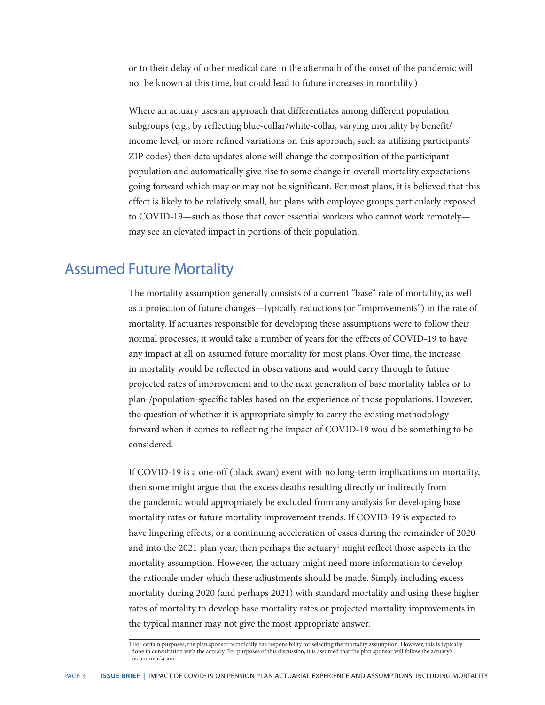or to their delay of other medical care in the aftermath of the onset of the pandemic will not be known at this time, but could lead to future increases in mortality.)

Where an actuary uses an approach that differentiates among different population subgroups (e.g., by reflecting blue-collar/white-collar, varying mortality by benefit/ income level, or more refined variations on this approach, such as utilizing participants' ZIP codes) then data updates alone will change the composition of the participant population and automatically give rise to some change in overall mortality expectations going forward which may or may not be significant. For most plans, it is believed that this effect is likely to be relatively small, but plans with employee groups particularly exposed to COVID-19—such as those that cover essential workers who cannot work remotely may see an elevated impact in portions of their population.

### Assumed Future Mortality

The mortality assumption generally consists of a current "base" rate of mortality, as well as a projection of future changes—typically reductions (or "improvements") in the rate of mortality. If actuaries responsible for developing these assumptions were to follow their normal processes, it would take a number of years for the effects of COVID-19 to have any impact at all on assumed future mortality for most plans. Over time, the increase in mortality would be reflected in observations and would carry through to future projected rates of improvement and to the next generation of base mortality tables or to plan-/population-specific tables based on the experience of those populations. However, the question of whether it is appropriate simply to carry the existing methodology forward when it comes to reflecting the impact of COVID-19 would be something to be considered.

If COVID-19 is a one-off (black swan) event with no long-term implications on mortality, then some might argue that the excess deaths resulting directly or indirectly from the pandemic would appropriately be excluded from any analysis for developing base mortality rates or future mortality improvement trends. If COVID-19 is expected to have lingering effects, or a continuing acceleration of cases during the remainder of 2020 and into the 2021 plan year, then perhaps the actuary<sup>1</sup> might reflect those aspects in the mortality assumption. However, the actuary might need more information to develop the rationale under which these adjustments should be made. Simply including excess mortality during 2020 (and perhaps 2021) with standard mortality and using these higher rates of mortality to develop base mortality rates or projected mortality improvements in the typical manner may not give the most appropriate answer.

1 For certain purposes, the plan sponsor technically has responsibility for selecting the mortality assumption. However, this is typically done in consultation with the actuary. For purposes of this discussion, it is assumed that the plan sponsor will follow the actuary's recommendation.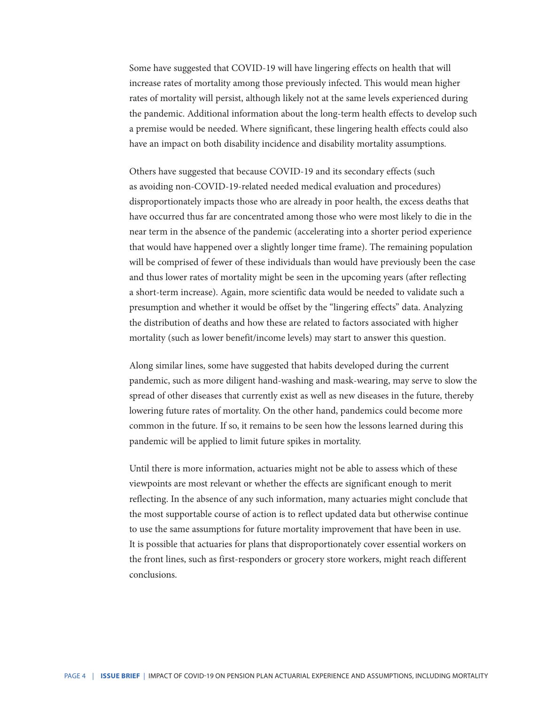Some have suggested that COVID-19 will have lingering effects on health that will increase rates of mortality among those previously infected. This would mean higher rates of mortality will persist, although likely not at the same levels experienced during the pandemic. Additional information about the long-term health effects to develop such a premise would be needed. Where significant, these lingering health effects could also have an impact on both disability incidence and disability mortality assumptions.

Others have suggested that because COVID-19 and its secondary effects (such as avoiding non-COVID-19-related needed medical evaluation and procedures) disproportionately impacts those who are already in poor health, the excess deaths that have occurred thus far are concentrated among those who were most likely to die in the near term in the absence of the pandemic (accelerating into a shorter period experience that would have happened over a slightly longer time frame). The remaining population will be comprised of fewer of these individuals than would have previously been the case and thus lower rates of mortality might be seen in the upcoming years (after reflecting a short-term increase). Again, more scientific data would be needed to validate such a presumption and whether it would be offset by the "lingering effects" data. Analyzing the distribution of deaths and how these are related to factors associated with higher mortality (such as lower benefit/income levels) may start to answer this question.

Along similar lines, some have suggested that habits developed during the current pandemic, such as more diligent hand-washing and mask-wearing, may serve to slow the spread of other diseases that currently exist as well as new diseases in the future, thereby lowering future rates of mortality. On the other hand, pandemics could become more common in the future. If so, it remains to be seen how the lessons learned during this pandemic will be applied to limit future spikes in mortality.

Until there is more information, actuaries might not be able to assess which of these viewpoints are most relevant or whether the effects are significant enough to merit reflecting. In the absence of any such information, many actuaries might conclude that the most supportable course of action is to reflect updated data but otherwise continue to use the same assumptions for future mortality improvement that have been in use. It is possible that actuaries for plans that disproportionately cover essential workers on the front lines, such as first-responders or grocery store workers, might reach different conclusions.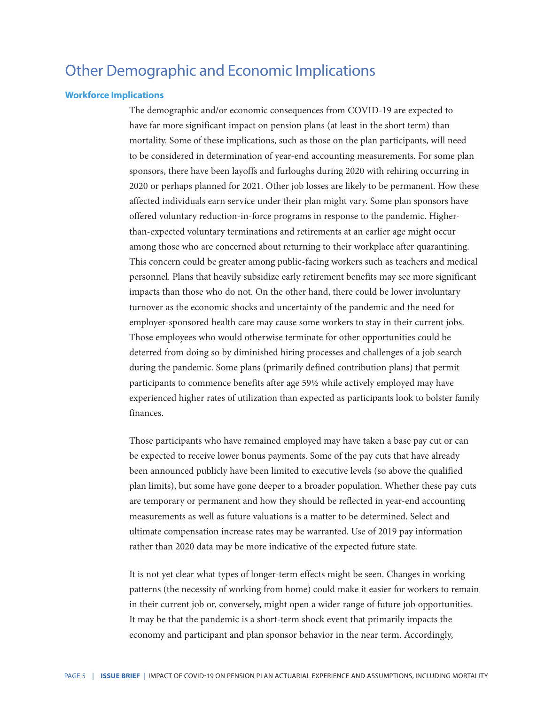## Other Demographic and Economic Implications

#### **Workforce Implications**

The demographic and/or economic consequences from COVID-19 are expected to have far more significant impact on pension plans (at least in the short term) than mortality. Some of these implications, such as those on the plan participants, will need to be considered in determination of year-end accounting measurements. For some plan sponsors, there have been layoffs and furloughs during 2020 with rehiring occurring in 2020 or perhaps planned for 2021. Other job losses are likely to be permanent. How these affected individuals earn service under their plan might vary. Some plan sponsors have offered voluntary reduction-in-force programs in response to the pandemic. Higherthan-expected voluntary terminations and retirements at an earlier age might occur among those who are concerned about returning to their workplace after quarantining. This concern could be greater among public-facing workers such as teachers and medical personnel. Plans that heavily subsidize early retirement benefits may see more significant impacts than those who do not. On the other hand, there could be lower involuntary turnover as the economic shocks and uncertainty of the pandemic and the need for employer-sponsored health care may cause some workers to stay in their current jobs. Those employees who would otherwise terminate for other opportunities could be deterred from doing so by diminished hiring processes and challenges of a job search during the pandemic. Some plans (primarily defined contribution plans) that permit participants to commence benefits after age 59½ while actively employed may have experienced higher rates of utilization than expected as participants look to bolster family finances.

Those participants who have remained employed may have taken a base pay cut or can be expected to receive lower bonus payments. Some of the pay cuts that have already been announced publicly have been limited to executive levels (so above the qualified plan limits), but some have gone deeper to a broader population. Whether these pay cuts are temporary or permanent and how they should be reflected in year-end accounting measurements as well as future valuations is a matter to be determined. Select and ultimate compensation increase rates may be warranted. Use of 2019 pay information rather than 2020 data may be more indicative of the expected future state.

It is not yet clear what types of longer-term effects might be seen. Changes in working patterns (the necessity of working from home) could make it easier for workers to remain in their current job or, conversely, might open a wider range of future job opportunities. It may be that the pandemic is a short-term shock event that primarily impacts the economy and participant and plan sponsor behavior in the near term. Accordingly,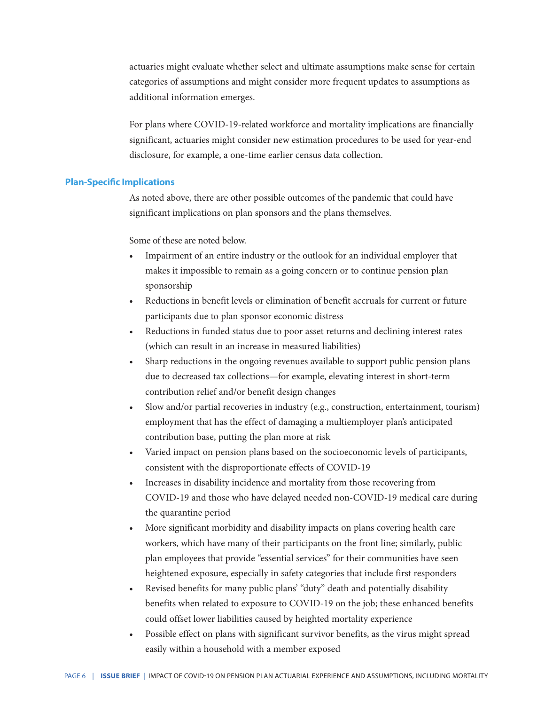actuaries might evaluate whether select and ultimate assumptions make sense for certain categories of assumptions and might consider more frequent updates to assumptions as additional information emerges.

For plans where COVID-19-related workforce and mortality implications are financially significant, actuaries might consider new estimation procedures to be used for year-end disclosure, for example, a one-time earlier census data collection.

#### **Plan-Specific Implications**

As noted above, there are other possible outcomes of the pandemic that could have significant implications on plan sponsors and the plans themselves.

Some of these are noted below.

- Impairment of an entire industry or the outlook for an individual employer that makes it impossible to remain as a going concern or to continue pension plan sponsorship
- Reductions in benefit levels or elimination of benefit accruals for current or future participants due to plan sponsor economic distress
- Reductions in funded status due to poor asset returns and declining interest rates (which can result in an increase in measured liabilities)
- Sharp reductions in the ongoing revenues available to support public pension plans due to decreased tax collections—for example, elevating interest in short-term contribution relief and/or benefit design changes
- Slow and/or partial recoveries in industry (e.g., construction, entertainment, tourism) employment that has the effect of damaging a multiemployer plan's anticipated contribution base, putting the plan more at risk
- Varied impact on pension plans based on the socioeconomic levels of participants, consistent with the disproportionate effects of COVID-19
- Increases in disability incidence and mortality from those recovering from COVID-19 and those who have delayed needed non-COVID-19 medical care during the quarantine period
- More significant morbidity and disability impacts on plans covering health care workers, which have many of their participants on the front line; similarly, public plan employees that provide "essential services" for their communities have seen heightened exposure, especially in safety categories that include first responders
- Revised benefits for many public plans' "duty" death and potentially disability benefits when related to exposure to COVID-19 on the job; these enhanced benefits could offset lower liabilities caused by heighted mortality experience
- Possible effect on plans with significant survivor benefits, as the virus might spread easily within a household with a member exposed